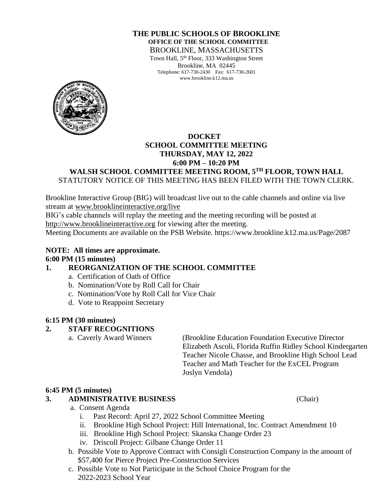### **THE PUBLIC SCHOOLS OF BROOKLINE OFFICE OF THE SCHOOL COMMITTEE** BROOKLINE, MASSACHUSETTS

Town Hall, 5<sup>th</sup> Floor, 333 Washington Street Brookline, MA 02445 Telephone: 617-730-2430 Fax: 617-730-2601 www.brookline.k12.ma.us



## **DOCKET SCHOOL COMMITTEE MEETING THURSDAY, MAY 12, 2022 6:00 PM – 10:20 PM**

### **WALSH SCHOOL COMMITTEE MEETING ROOM, 5TH FLOOR, TOWN HALL** STATUTORY NOTICE OF THIS MEETING HAS BEEN FILED WITH THE TOWN CLERK.

Brookline Interactive Group (BIG) will broadcast live out to the cable channels and online via live stream at [www.brooklineinteractive.org/live](https://protect-us.mimecast.com/s/nSb0CG6Q8xuLqW1DHYBFG-?domain=brooklineinteractive.org)

BIG's cable channels will replay the meeting and the meeting recording will be posted at [http://www.brooklineinteractive.org](https://protect-us.mimecast.com/s/ziZBCER6xvc6nngoFwrIh2?domain=brooklineinteractive.org) for viewing after the meeting.

Meeting Documents are available on the PSB Website. https://www.brookline.k12.ma.us/Page/2087

# **NOTE: All times are approximate. 6:00 PM (15 minutes)**

## **1. REORGANIZATION OF THE SCHOOL COMMITTEE**

- a. Certification of Oath of Office
- b. Nomination/Vote by Roll Call for Chair
- c. Nomination/Vote by Roll Call for Vice Chair
- d. Vote to Reappoint Secretary

### **6:15 PM (30 minutes)**

### **2. STAFF RECOGNITIONS**

a. Caverly Award Winners (Brookline Education Foundation Executive Director Elizabeth Ascoli, Florida Ruffin Ridley School Kindergarten Teacher Nicole Chasse, and Brookline High School Lead Teacher and Math Teacher for the ExCEL Program Joslyn Vendola)

### **6:45 PM (5 minutes)**

### **3. ADMINISTRATIVE BUSINESS** (Chair)

- a. Consent Agenda
	- i. Past Record: April 27, 2022 School Committee Meeting
	- ii. Brookline High School Project: Hill International, Inc. Contract Amendment 10
	- iii. Brookline High School Project: Skanska Change Order 23
	- iv. Driscoll Project: Gilbane Change Order 11
- b. Possible Vote to Approve Contract with Consigli Construction Company in the amount of \$57,400 for Pierce Project Pre-Construction Services
- c. Possible Vote to Not Participate in the School Choice Program for the 2022-2023 School Year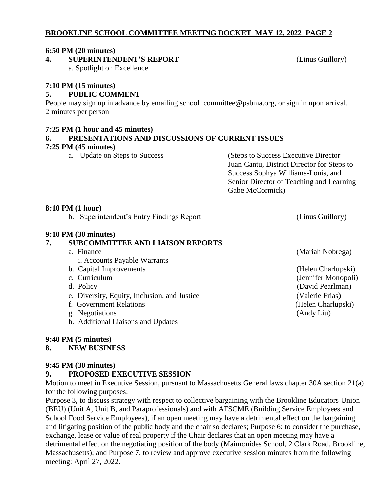# **BROOKLINE SCHOOL COMMITTEE MEETING DOCKET MAY 12, 2022 PAGE 2**

### **6:50 PM (20 minutes)**

**4. SUPERINTENDENT'S REPORT** (Linus Guillory)

a. Spotlight on Excellence

# **7:10 PM (15 minutes)**

## **5. PUBLIC COMMENT**

People may sign up in advance by emailing school\_committee@psbma.org, or sign in upon arrival. 2 minutes per person

## **7:25 PM (1 hour and 45 minutes)**

# **6. PRESENTATIONS AND DISCUSSIONS OF CURRENT ISSUES**

**7:25 PM (45 minutes)**

(Steps to Success Executive Director Juan Cantu, District Director for Steps to Success Sophya Williams-Louis, and Senior Director of Teaching and Learning Gabe McCormick)

### **8:10 PM (1 hour)**

b. Superintendent's Entry Findings Report (Linus Guillory)

## **9:10 PM (30 minutes)**

## **7. SUBCOMMITTEE AND LIAISON REPORTS**

- a. Finance (Mariah Nobrega) i. Accounts Payable Warrants
	-
- 
- 
- e. Diversity, Equity, Inclusion, and Justice (Valerie Frias)
- f. Government Relations (Helen Charlupski)
- g. Negotiations (Andy Liu)
- h. Additional Liaisons and Updates

## **9:40 PM (5 minutes)**

## **8. NEW BUSINESS**

## **9:45 PM (30 minutes)**

## **9. PROPOSED EXECUTIVE SESSION**

Motion to meet in Executive Session, pursuant to Massachusetts General laws chapter 30A section 21(a) for the following purposes:

Purpose 3, to discuss strategy with respect to collective bargaining with the Brookline Educators Union (BEU) (Unit A, Unit B, and Paraprofessionals) and with AFSCME (Building Service Employees and School Food Service Employees), if an open meeting may have a detrimental effect on the bargaining and litigating position of the public body and the chair so declares; Purpose 6: to consider the purchase, exchange, lease or value of real property if the Chair declares that an open meeting may have a detrimental effect on the negotiating position of the body (Maimonides School, 2 Clark Road, Brookline, Massachusetts); and Purpose 7, to review and approve executive session minutes from the following meeting: April 27, 2022.

b. Capital Improvements (Helen Charlupski) c. Curriculum (Jennifer Monopoli) d. Policy (David Pearlman)